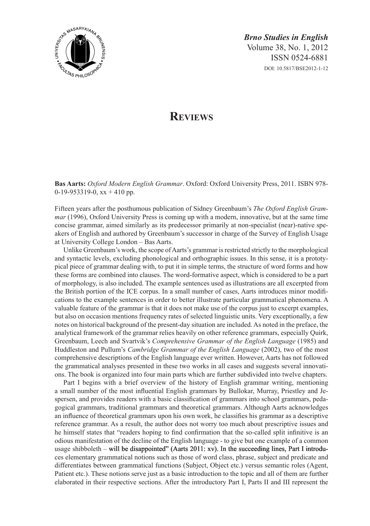

*Brno Studies in English* Volume 38, No. 1, 2012 ISSN 0524-6881 DOI: 10.5817/BSE2012-1-12

## **Reviews**

**Bas Aarts:** *Oxford Modern English Grammar*. Oxford: Oxford University Press, 2011. ISBN 978- 0-19-953319-0,  $xx + 410$  pp.

Fifteen years after the posthumous publication of Sidney Greenbaum's *The Oxford English Grammar* (1996), Oxford University Press is coming up with a modern, innovative, but at the same time concise grammar, aimed similarly as its predecessor primarily at non-specialist (near)-native speakers of English and authored by Greenbaum's successor in charge of the Survey of English Usage at University College London – Bas Aarts.

Unlike Greenbaum's work, the scope of Aarts's grammar is restricted strictly to the morphological and syntactic levels, excluding phonological and orthographic issues. In this sense, it is a prototypical piece of grammar dealing with, to put it in simple terms, the structure of word forms and how these forms are combined into clauses. The word-formative aspect, which is considered to be a part of morphology, is also included. The example sentences used as illustrations are all excerpted from the British portion of the ICE corpus. In a small number of cases, Aarts introduces minor modifications to the example sentences in order to better illustrate particular grammatical phenomena. A valuable feature of the grammar is that it does not make use of the corpus just to excerpt examples, but also on occasion mentions frequency rates of selected linguistic units. Very exceptionally, a few notes on historical background of the present-day situation are included. As noted in the preface, the analytical framework of the grammar relies heavily on other reference grammars, especially Quirk, Greenbaum, Leech and Svartvik's *Comprehensive Grammar of the English Language* (1985) and Huddleston and Pullum's *Cambridge Grammar of the English Language* (2002), two of the most comprehensive descriptions of the English language ever written. However, Aarts has not followed the grammatical analyses presented in these two works in all cases and suggests several innovations. The book is organized into four main parts which are further subdivided into twelve chapters.

Part I begins with a brief overview of the history of English grammar writing, mentioning a small number of the most influential English grammars by Bullokar, Murray, Priestley and Jespersen, and provides readers with a basic classification of grammars into school grammars, pedagogical grammars, traditional grammars and theoretical grammars. Although Aarts acknowledges an influence of theoretical grammars upon his own work, he classifies his grammar as a descriptive reference grammar. As a result, the author does not worry too much about prescriptive issues and he himself states that "readers hoping to find confirmation that the so-called split infinitive is an odious manifestation of the decline of the English language - to give but one example of a common usage shibboleth – will be disappointed" (Aarts 2011: xv). In the succeeding lines, Part I introduces elementary grammatical notions such as those of word class, phrase, subject and predicate and differentiates between grammatical functions (Subject, Object etc.) versus semantic roles (Agent, Patient etc.). These notions serve just as a basic introduction to the topic and all of them are further elaborated in their respective sections. After the introductory Part I, Parts II and III represent the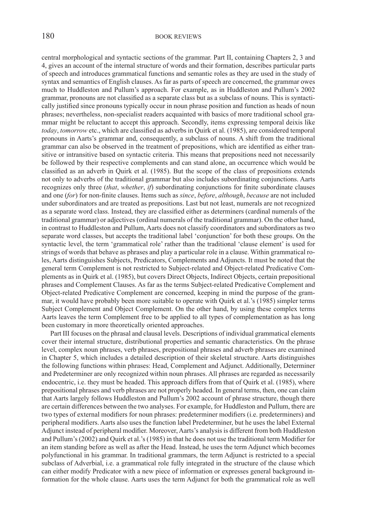## 180 BOOK REVIEWS

central morphological and syntactic sections of the grammar. Part II, containing Chapters 2, 3 and 4, gives an account of the internal structure of words and their formation, describes particular parts of speech and introduces grammatical functions and semantic roles as they are used in the study of syntax and semantics of English clauses. As far as parts of speech are concerned, the grammar owes much to Huddleston and Pullum's approach. For example, as in Huddleston and Pullum's 2002 grammar, pronouns are not classified as a separate class but as a subclass of nouns. This is syntactically justified since pronouns typically occur in noun phrase position and function as heads of noun phrases; nevertheless, non-specialist readers acquainted with basics of more traditional school grammar might be reluctant to accept this approach. Secondly, items expressing temporal deixis like *today*, *tomorrow* etc., which are classified as adverbs in Quirk et al. (1985), are considered temporal pronouns in Aarts's grammar and, consequently, a subclass of nouns. A shift from the traditional grammar can also be observed in the treatment of prepositions, which are identified as either transitive or intransitive based on syntactic criteria. This means that prepositions need not necessarily be followed by their respective complements and can stand alone, an occurrence which would be classified as an adverb in Quirk et al. (1985). But the scope of the class of prepositions extends not only to adverbs of the traditional grammar but also includes subordinating conjunctions. Aarts recognizes only three (*that*, *whether*, *if*) subordinating conjunctions for finite subordinate clauses and one (*for*) for non-finite clauses. Items such as *since*, *before*, *although*, *because* are not included under subordinators and are treated as prepositions. Last but not least, numerals are not recognized as a separate word class. Instead, they are classified either as determiners (cardinal numerals of the traditional grammar) or adjectives (ordinal numerals of the traditional grammar). On the other hand, in contrast to Huddleston and Pullum, Aarts does not classify coordinators and subordinators as two separate word classes, but accepts the traditional label 'conjunction' for both these groups. On the syntactic level, the term 'grammatical role' rather than the traditional 'clause element' is used for strings of words that behave as phrases and play a particular role in a clause. Within grammatical roles, Aarts distinguishes Subjects, Predicators, Complements and Adjuncts. It must be noted that the general term Complement is not restricted to Subject-related and Object-related Predicative Complements as in Quirk et al. (1985), but covers Direct Objects, Indirect Objects, certain prepositional phrases and Complement Clauses. As far as the terms Subject-related Predicative Complement and Object-related Predicative Complement are concerned, keeping in mind the purpose of the grammar, it would have probably been more suitable to operate with Quirk et al.'s (1985) simpler terms Subject Complement and Object Complement. On the other hand, by using these complex terms Aarts leaves the term Complement free to be applied to all types of complementation as has long been customary in more theoretically oriented approaches.

Part III focuses on the phrasal and clausal levels. Descriptions of individual grammatical elements cover their internal structure, distributional properties and semantic characteristics. On the phrase level, complex noun phrases, verb phrases, prepositional phrases and adverb phrases are examined in Chapter 5, which includes a detailed description of their skeletal structure. Aarts distinguishes the following functions within phrases: Head, Complement and Adjunct. Additionally, Determiner and Predeterminer are only recognized within noun phrases. All phrases are regarded as necessarily endocentric, i.e. they must be headed. This approach differs from that of Quirk et al. (1985), where prepositional phrases and verb phrases are not properly headed. In general terms, then, one can claim that Aarts largely follows Huddleston and Pullum's 2002 account of phrase structure, though there are certain differences between the two analyses. For example, for Huddleston and Pullum, there are two types of external modifiers for noun phrases: predeterminer modifiers (i.e. predeterminers) and peripheral modifiers. Aarts also uses the function label Predeterminer, but he uses the label External Adjunct instead of peripheral modifier. Moreover, Aarts's analysis is different from both Huddleston and Pullum's (2002) and Quirk et al.'s (1985) in that he does not use the traditional term Modifier for an item standing before as well as after the Head. Instead, he uses the term Adjunct which becomes polyfunctional in his grammar. In traditional grammars, the term Adjunct is restricted to a special subclass of Adverbial, i.e. a grammatical role fully integrated in the structure of the clause which can either modify Predicator with a new piece of information or expresses general background information for the whole clause. Aarts uses the term Adjunct for both the grammatical role as well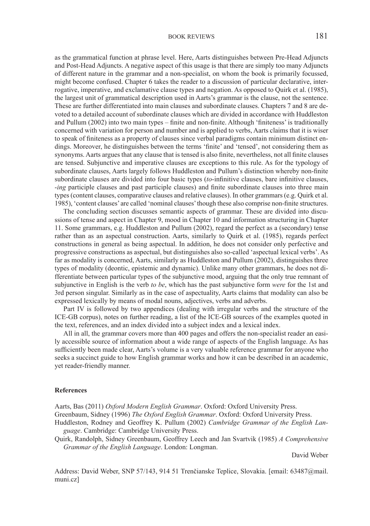## BOOK REVIEWS 181

as the grammatical function at phrase level. Here, Aarts distinguishes between Pre-Head Adjuncts and Post-Head Adjuncts. A negative aspect of this usage is that there are simply too many Adjuncts of different nature in the grammar and a non-specialist, on whom the book is primarily focussed, might become confused. Chapter 6 takes the reader to a discussion of particular declarative, interrogative, imperative, and exclamative clause types and negation. As opposed to Quirk et al. (1985), the largest unit of grammatical description used in Aarts's grammar is the clause, not the sentence. These are further differentiated into main clauses and subordinate clauses. Chapters 7 and 8 are devoted to a detailed account of subordinate clauses which are divided in accordance with Huddleston and Pullum (2002) into two main types – finite and non-finite. Although 'finiteness' is traditionally concerned with variation for person and number and is applied to verbs, Aarts claims that it is wiser to speak of finiteness as a property of clauses since verbal paradigms contain minimum distinct endings. Moreover, he distinguishes between the terms 'finite' and 'tensed', not considering them as synonyms. Aarts argues that any clause that is tensed is also finite, nevertheless, not all finite clauses are tensed. Subjunctive and imperative clauses are exceptions to this rule. As for the typology of subordinate clauses, Aarts largely follows Huddleston and Pullum's distinction whereby non-finite subordinate clauses are divided into four basic types (*to*-infinitive clauses, bare infinitive clauses, -*ing* participle clauses and past participle clauses) and finite subordinate clauses into three main types (content clauses, comparative clauses and relative clauses). In other grammars (e.g. Quirk et al. 1985), 'content clauses' are called 'nominal clauses' though these also comprise non-finite structures.

The concluding section discusses semantic aspects of grammar. These are divided into discussions of tense and aspect in Chapter 9, mood in Chapter 10 and information structuring in Chapter 11. Some grammars, e.g. Huddleston and Pullum (2002), regard the perfect as a (secondary) tense rather than as an aspectual construction. Aarts, similarly to Quirk et al. (1985), regards perfect constructions in general as being aspectual. In addition, he does not consider only perfective and progressive constructions as aspectual, but distinguishes also so-called 'aspectual lexical verbs'. As far as modality is concerned, Aarts, similarly as Huddleston and Pullum (2002), distinguishes three types of modality (deontic, epistemic and dynamic). Unlike many other grammars, he does not differentiate between particular types of the subjunctive mood, arguing that the only true remnant of subjunctive in English is the verb *to be*, which has the past subjunctive form *were* for the 1st and 3rd person singular. Similarly as in the case of aspectuality, Aarts claims that modality can also be expressed lexically by means of modal nouns, adjectives, verbs and adverbs.

Part IV is followed by two appendices (dealing with irregular verbs and the structure of the ICE-GB corpus), notes on further reading, a list of the ICE-GB sources of the examples quoted in the text, references, and an index divided into a subject index and a lexical index.

All in all, the grammar covers more than 400 pages and offers the non-specialist reader an easily accessible source of information about a wide range of aspects of the English language. As has sufficiently been made clear, Aarts's volume is a very valuable reference grammar for anyone who seeks a succinct guide to how English grammar works and how it can be described in an academic, yet reader-friendly manner.

## **References**

Aarts, Bas (2011) *Oxford Modern English Grammar*. Oxford: Oxford University Press. Greenbaum, Sidney (1996) *The Oxford English Grammar*. Oxford: Oxford University Press. Huddleston, Rodney and Geoffrey K. Pullum (2002) *Cambridge Grammar of the English Language*. Cambridge: Cambridge University Press.

Quirk, Randolph, Sidney Greenbaum, Geoffrey Leech and Jan Svartvik (1985) *A Comprehensive Grammar of the English Language*. London: Longman.

David Weber

Address: David Weber, SNP 57/143, 914 51 Trenčianske Teplice, Slovakia. [email: 63487@mail. muni.cz]